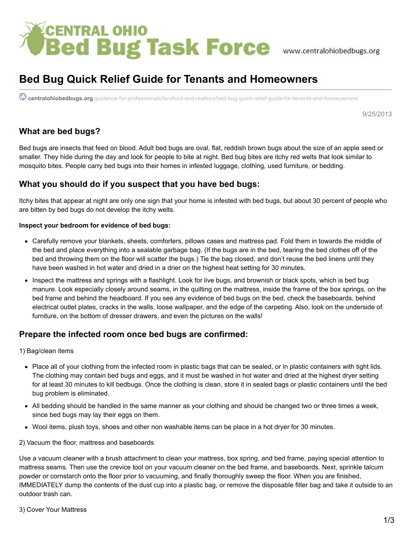# *SCENTRAL OHIO*<br> **Bed Bug Task Force** www.centralohiobedbugs.org

# **Bed Bug Quick Relief Guide for Tenants and Homeowners**

**centralohiobedbugs.org**[/guidance-for-professionals/landlord-and-realtors/bed-bug-quick-relief-guide-for-tenants-and-homeowners/](http://centralohiobedbugs.org/guidance-for-professionals/landlord-and-realtors/bed-bug-quick-relief-guide-for-tenants-and-homeowners/)

9/25/2013

# **What are bed bugs?**

Bed bugs are insects that feed on blood. Adult bed bugs are oval, flat, reddish brown bugs about the size of an apple seed or smaller. They hide during the day and look for people to bite at night. Bed bug bites are itchy red welts that look similar to mosquito bites. People carry bed bugs into their homes in infested luggage, clothing, used furniture, or bedding.

# **What you should do if you suspect that you have bed bugs:**

Itchy bites that appear at night are only one sign that your home is infested with bed bugs, but about 30 percent of people who are bitten by bed bugs do not develop the itchy welts.

#### **Inspect your bedroom for evidence of bed bugs:**

- Carefully remove your blankets, sheets, comforters, pillows cases and mattress pad. Fold them in towards the middle of the bed and place everything into a sealable garbage bag. (If the bugs are in the bed, tearing the bed clothes off of the bed and throwing them on the floor will scatter the bugs.) Tie the bag closed, and don't reuse the bed linens until they have been washed in hot water and dried in a drier on the highest heat setting for 30 minutes.
- Inspect the mattress and springs with a flashlight. Look for live bugs, and brownish or black spots, which is bed bug manure. Look especially closely around seams, in the quilting on the mattress, inside the frame of the box springs, on the bed frame and behind the headboard. If you see any evidence of bed bugs on the bed, check the baseboards, behind electrical outlet plates, cracks in the walls, loose wallpaper, and the edge of the carpeting. Also, look on the underside of furniture, on the bottom of dresser drawers, and even the pictures on the walls!

# **Prepare the infected room once bed bugs are confirmed:**

1) Bag/clean items

- Place all of your clothing from the infected room in plastic bags that can be sealed, or in plastic containers with tight lids. The clothing may contain bed bugs and eggs, and it must be washed in hot water and dried at the highest dryer setting for at least 30 minutes to kill bedbugs. Once the clothing is clean, store it in sealed bags or plastic containers until the bed bug problem is eliminated.
- All bedding should be handled in the same manner as your clothing and should be changed two or three times a week, since bed bugs may lay their eggs on them.
- Wool items, plush toys, shoes and other non washable items can be place in a hot dryer for 30 minutes.

#### 2) Vacuum the floor, mattress and baseboards

Use a vacuum cleaner with a brush attachment to clean your mattress, box spring, and bed frame, paying special attention to mattress seams. Then use the crevice tool on your vacuum cleaner on the bed frame, and baseboards. Next, sprinkle talcum powder or cornstarch onto the floor prior to vacuuming, and finally thoroughly sweep the floor. When you are finished, IMMEDIATELY dump the contents of the dust cup into a plastic bag, or remove the disposable filter bag and take it outside to an outdoor trash can.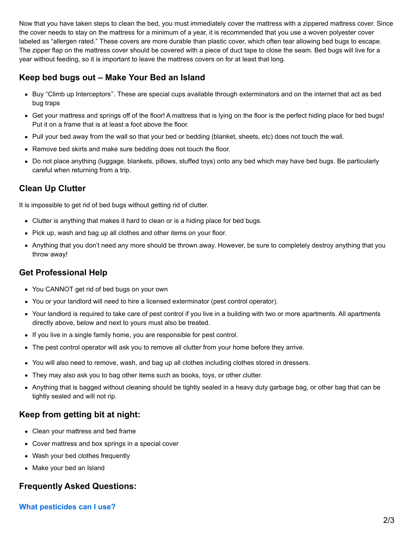Now that you have taken steps to clean the bed, you must immediately cover the mattress with a zippered mattress cover. Since the cover needs to stay on the mattress for a minimum of a year, it is recommended that you use a woven polyester cover labeled as "allergen rated." These covers are more durable than plastic cover, which often tear allowing bed bugs to escape. The zipper flap on the mattress cover should be covered with a piece of duct tape to close the seam. Bed bugs will live for a year without feeding, so it is important to leave the mattress covers on for at least that long.

# **Keep bed bugs out – Make Your Bed an Island**

- Buy "Climb up Interceptors". These are special cups available through exterminators and on the internet that act as bed bug traps
- Get your mattress and springs off of the floor! A mattress that is lying on the floor is the perfect hiding place for bed bugs! Put it on a frame that is at least a foot above the floor.
- Pull your bed away from the wall so that your bed or bedding (blanket, sheets, etc) does not touch the wall.
- Remove bed skirts and make sure bedding does not touch the floor.
- Do not place anything (luggage, blankets, pillows, stuffed toys) onto any bed which may have bed bugs. Be particularly careful when returning from a trip.

# **Clean Up Clutter**

It is impossible to get rid of bed bugs without getting rid of clutter.

- Clutter is anything that makes it hard to clean or is a hiding place for bed bugs.
- Pick up, wash and bag up all clothes and other items on your floor.
- Anything that you don't need any more should be thrown away. However, be sure to completely destroy anything that you throw away!

# **Get Professional Help**

- You CANNOT get rid of bed bugs on your own
- You or your landlord will need to hire a licensed exterminator (pest control operator).
- Your landlord is required to take care of pest control if you live in a building with two or more apartments. All apartments directly above, below and next to yours must also be treated.
- If you live in a single family home, you are responsible for pest control.
- The pest control operator will ask you to remove all clutter from your home before they arrive.
- You will also need to remove, wash, and bag up all clothes including clothes stored in dressers.
- They may also ask you to bag other items such as books, toys, or other clutter.
- Anything that is bagged without cleaning should be tightly sealed in a heavy duty garbage bag, or other bag that can be tightly sealed and will not rip.

# **Keep from getting bit at night:**

- Clean your mattress and bed frame
- Cover mattress and box springs in a special cover
- Wash your bed clothes frequently
- Make your bed an Island

# **Frequently Asked Questions:**

# **What pesticides can I use?**